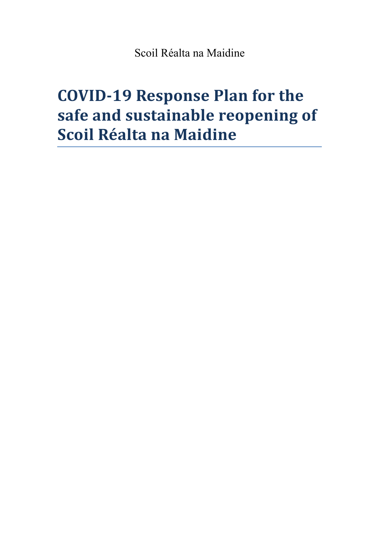Scoil Réalta na Maidine

# **COVID-19 Response Plan for the safe and sustainable reopening of Scoil Réalta na Maidine**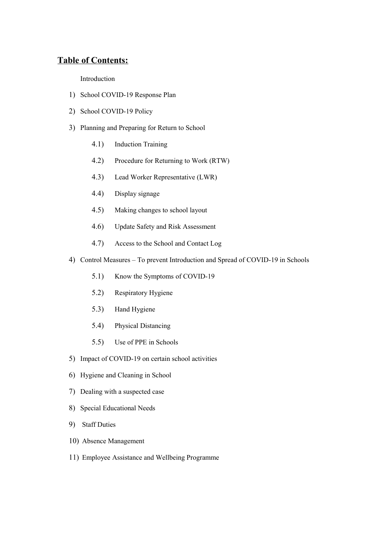# **Table of Contents:**

Introduction

- 1) School COVID-19 Response Plan
- 2) School COVID-19 Policy
- 3) Planning and Preparing for Return to School
	- 4.1) Induction Training
	- 4.2) Procedure for Returning to Work (RTW)
	- 4.3) Lead Worker Representative (LWR)
	- 4.4) Display signage
	- 4.5) Making changes to school layout
	- 4.6) Update Safety and Risk Assessment
	- 4.7) Access to the School and Contact Log
- 4) Control Measures To prevent Introduction and Spread of COVID-19 in Schools
	- 5.1) Know the Symptoms of COVID-19
	- 5.2) Respiratory Hygiene
	- 5.3) Hand Hygiene
	- 5.4) Physical Distancing
	- 5.5) Use of PPE in Schools
- 5) Impact of COVID-19 on certain school activities
- 6) Hygiene and Cleaning in School
- 7) Dealing with a suspected case
- 8) Special Educational Needs
- 9) Staff Duties
- 10) Absence Management
- 11) Employee Assistance and Wellbeing Programme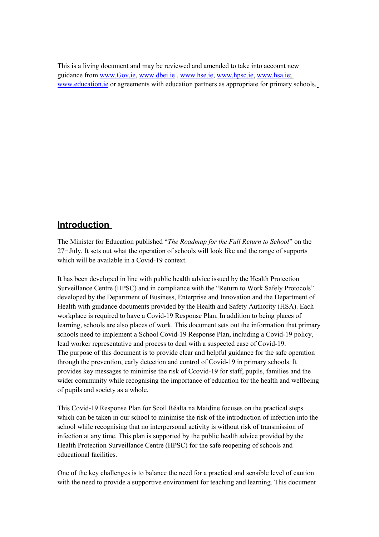This is a living document and may be reviewed and amended to take into account new guidance from [www.Gov.ie,](http://www.Gov.ie/) [www.dbei.ie](http://www.dbei.ie/) , [www.hse.ie,](http://www.hse.ie/) [www.hpsc.ie,](http://www.hpsc.ie/) [www.hsa.ie;](http://www.hsa.ie/) [www.education.ie](http://www.education.ie/) or agreements with education partners as appropriate for primary schools.

# **Introduction**

The Minister for Education published "*The Roadmap for the Full Return to School*" on the  $27<sup>th</sup>$  July. It sets out what the operation of schools will look like and the range of supports which will be available in a Covid-19 context.

It has been developed in line with public health advice issued by the Health Protection Surveillance Centre (HPSC) and in compliance with the "Return to Work Safely Protocols" developed by the Department of Business, Enterprise and Innovation and the Department of Health with guidance documents provided by the Health and Safety Authority (HSA). Each workplace is required to have a Covid-19 Response Plan. In addition to being places of learning, schools are also places of work. This document sets out the information that primary schools need to implement a School Covid-19 Response Plan, including a Covid-19 policy, lead worker representative and process to deal with a suspected case of Covid-19. The purpose of this document is to provide clear and helpful guidance for the safe operation through the prevention, early detection and control of Covid-19 in primary schools. It provides key messages to minimise the risk of Ccovid-19 for staff, pupils, families and the wider community while recognising the importance of education for the health and wellbeing of pupils and society as a whole.

This Covid-19 Response Plan for Scoil Réalta na Maidine focuses on the practical steps which can be taken in our school to minimise the risk of the introduction of infection into the school while recognising that no interpersonal activity is without risk of transmission of infection at any time. This plan is supported by the public health advice provided by the Health Protection Surveillance Centre (HPSC) for the safe reopening of schools and educational facilities.

One of the key challenges is to balance the need for a practical and sensible level of caution with the need to provide a supportive environment for teaching and learning. This document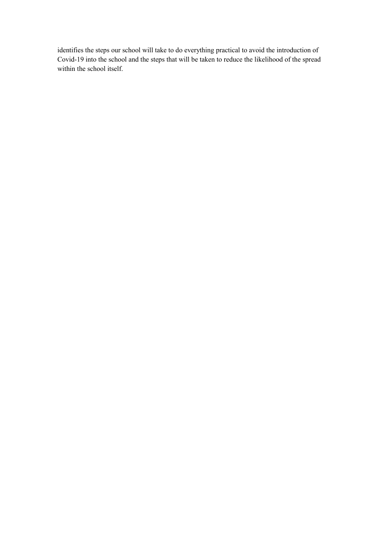identifies the steps our school will take to do everything practical to avoid the introduction of Covid-19 into the school and the steps that will be taken to reduce the likelihood of the spread within the school itself.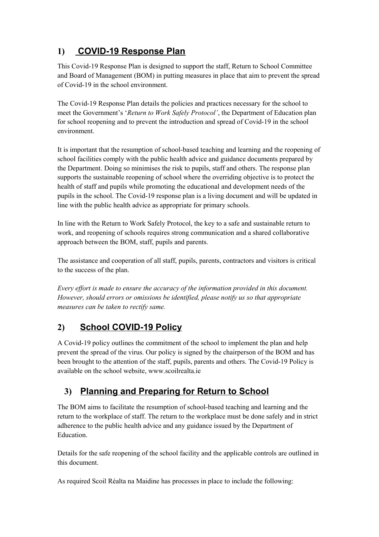# **1) COVID-19 Response Plan**

This Covid-19 Response Plan is designed to support the staff, Return to School Committee and Board of Management (BOM) in putting measures in place that aim to prevent the spread of Covid-19 in the school environment.

The Covid-19 Response Plan details the policies and practices necessary for the school to meet the Government's '*Return to Work Safely Protocol'*, the Department of Education plan for school reopening and to prevent the introduction and spread of Covid-19 in the school environment.

It is important that the resumption of school-based teaching and learning and the reopening of school facilities comply with the public health advice and guidance documents prepared by the Department. Doing so minimises the risk to pupils, staff and others. The response plan supports the sustainable reopening of school where the overriding objective is to protect the health of staff and pupils while promoting the educational and development needs of the pupils in the school. The Covid-19 response plan is a living document and will be updated in line with the public health advice as appropriate for primary schools.

In line with the Return to Work Safely Protocol, the key to a safe and sustainable return to work, and reopening of schools requires strong communication and a shared collaborative approach between the BOM, staff, pupils and parents.

The assistance and cooperation of all staff, pupils, parents, contractors and visitors is critical to the success of the plan.

*Every effort is made to ensure the accuracy of the information provided in this document. However, should errors or omissions be identified, please notify us so that appropriate measures can be taken to rectify same.*

# **2) School COVID-19 Policy**

A Covid-19 policy outlines the commitment of the school to implement the plan and help prevent the spread of the virus. Our policy is signed by the chairperson of the BOM and has been brought to the attention of the staff, pupils, parents and others. The Covid-19 Policy is available on the school website, www.scoilrealta.ie

# **3) Planning and Preparing for Return to School**

The BOM aims to facilitate the resumption of school-based teaching and learning and the return to the workplace of staff. The return to the workplace must be done safely and in strict adherence to the public health advice and any guidance issued by the Department of Education.

Details for the safe reopening of the school facility and the applicable controls are outlined in this document.

As required Scoil Réalta na Maidine has processes in place to include the following: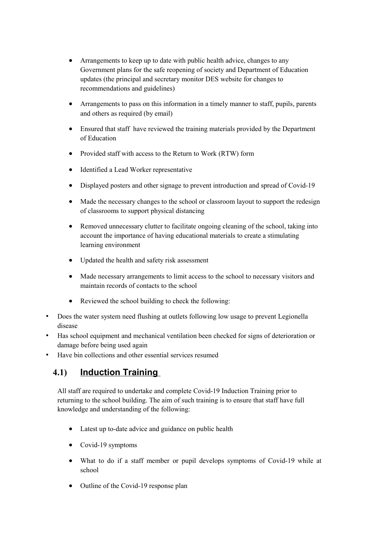- Arrangements to keep up to date with public health advice, changes to any Government plans for the safe reopening of society and Department of Education updates (the principal and secretary monitor DES website for changes to recommendations and guidelines)
- Arrangements to pass on this information in a timely manner to staff, pupils, parents and others as required (by email)
- Ensured that staff have reviewed the training materials provided by the Department of Education
- Provided staff with access to the Return to Work (RTW) form
- Identified a Lead Worker representative
- Displayed posters and other signage to prevent introduction and spread of Covid-19
- Made the necessary changes to the school or classroom layout to support the redesign of classrooms to support physical distancing
- Removed unnecessary clutter to facilitate ongoing cleaning of the school, taking into account the importance of having educational materials to create a stimulating learning environment
- Updated the health and safety risk assessment
- Made necessary arrangements to limit access to the school to necessary visitors and maintain records of contacts to the school
- Reviewed the school building to check the following:
- Does the water system need flushing at outlets following low usage to prevent Legionella disease
- Has school equipment and mechanical ventilation been checked for signs of deterioration or damage before being used again
- Have bin collections and other essential services resumed

# **4.1) Induction Training**

All staff are required to undertake and complete Covid-19 Induction Training prior to returning to the school building. The aim of such training is to ensure that staff have full knowledge and understanding of the following:

- Latest up to-date advice and guidance on public health
- Covid-19 symptoms
- What to do if a staff member or pupil develops symptoms of Covid-19 while at school
- Outline of the Covid-19 response plan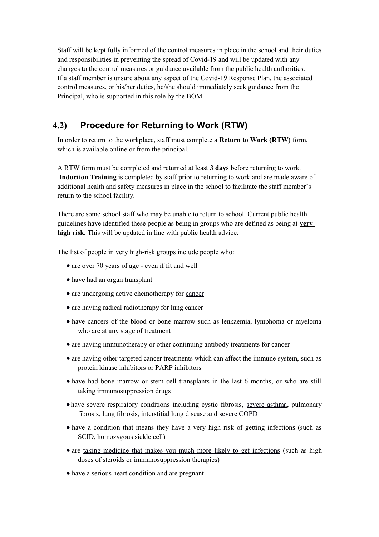Staff will be kept fully informed of the control measures in place in the school and their duties and responsibilities in preventing the spread of Covid-19 and will be updated with any changes to the control measures or guidance available from the public health authorities. If a staff member is unsure about any aspect of the Covid-19 Response Plan, the associated control measures, or his/her duties, he/she should immediately seek guidance from the Principal, who is supported in this role by the BOM.

# **4.2) Procedure for Returning to Work (RTW)**

In order to return to the workplace, staff must complete a **Return to Work (RTW)** form, which is available online or from the principal.

A RTW form must be completed and returned at least **3 days** before returning to work. **Induction Training** is completed by staff prior to returning to work and are made aware of additional health and safety measures in place in the school to facilitate the staff member's return to the school facility.

There are some school staff who may be unable to return to school. Current public health guidelines have identified these people as being in groups who are defined as being at **very high risk.** This will be updated in line with public health advice.

The list of people in very high-risk groups include people who:

- are over 70 years of age even if fit and well
- have had an organ transplant
- are undergoing active chemotherapy for [cancer](https://www2.hse.ie/conditions/coronavirus/cancer-patients.html)
- are having radical radiotherapy for lung cancer
- have cancers of the blood or bone marrow such as leukaemia, lymphoma or myeloma who are at any stage of treatment
- are having immunotherapy or other continuing antibody treatments for cancer
- are having other targeted cancer treatments which can affect the immune system, such as protein kinase inhibitors or PARP inhibitors
- have had bone marrow or stem cell transplants in the last 6 months, or who are still taking immunosuppression drugs
- have severe respiratory conditions including cystic fibrosis, [severe asthma,](https://www2.hse.ie/conditions/coronavirus/asthma.html) pulmonary fibrosis, lung fibrosis, interstitial lung disease and [severe COPD](https://www2.hse.ie/conditions/coronavirus/copd.html)
- have a condition that means they have a very high risk of getting infections (such as SCID, homozygous sickle cell)
- are [taking medicine that makes you much more likely to get infections](https://www2.hse.ie/conditions/coronavirus/weak-immune-system.html) (such as high doses of steroids or immunosuppression therapies)
- have a serious heart condition and are pregnant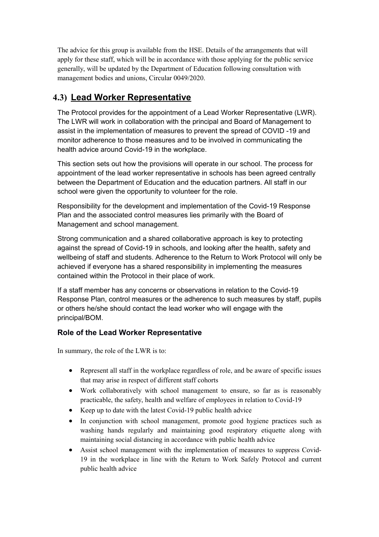The advice for this group is available from the HSE. Details of the arrangements that will apply for these staff, which will be in accordance with those applying for the public service generally, will be updated by the Department of Education following consultation with management bodies and unions, Circular 0049/2020.

# **4.3) Lead Worker Representative**

The Protocol provides for the appointment of a Lead Worker Representative (LWR). The LWR will work in collaboration with the principal and Board of Management to assist in the implementation of measures to prevent the spread of COVID -19 and monitor adherence to those measures and to be involved in communicating the health advice around Covid-19 in the workplace.

This section sets out how the provisions will operate in our school. The process for appointment of the lead worker representative in schools has been agreed centrally between the Department of Education and the education partners. All staff in our school were given the opportunity to volunteer for the role.

Responsibility for the development and implementation of the Covid-19 Response Plan and the associated control measures lies primarily with the Board of Management and school management.

Strong communication and a shared collaborative approach is key to protecting against the spread of Covid-19 in schools, and looking after the health, safety and wellbeing of staff and students. Adherence to the Return to Work Protocol will only be achieved if everyone has a shared responsibility in implementing the measures contained within the Protocol in their place of work.

If a staff member has any concerns or observations in relation to the Covid-19 Response Plan, control measures or the adherence to such measures by staff, pupils or others he/she should contact the lead worker who will engage with the principal/BOM.

### **Role of the Lead Worker Representative**

In summary, the role of the LWR is to:

- Represent all staff in the workplace regardless of role, and be aware of specific issues that may arise in respect of different staff cohorts
- Work collaboratively with school management to ensure, so far as is reasonably practicable, the safety, health and welfare of employees in relation to Covid-19
- Keep up to date with the latest Covid-19 public health advice
- In conjunction with school management, promote good hygiene practices such as washing hands regularly and maintaining good respiratory etiquette along with maintaining social distancing in accordance with public health advice
- Assist school management with the implementation of measures to suppress Covid-19 in the workplace in line with the Return to Work Safely Protocol and current public health advice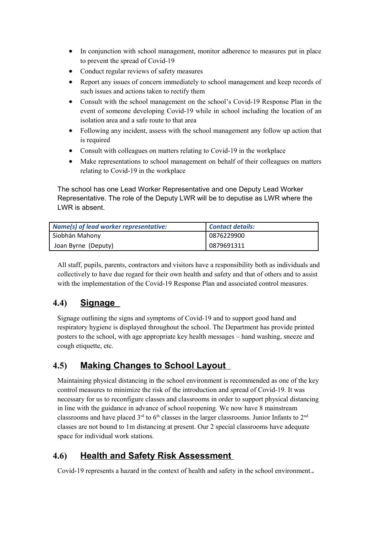- In conjunction with school management, monitor adherence to measures put in place to prevent the spread of Covid-19
- Conduct regular reviews of safety measures
- Report any issues of concern immediately to school management and keep records of such issues and actions taken to rectify them
- Consult with the school management on the school's Covid-19 Response Plan in the event of someone developing Covid-19 while in school including the location of an isolation area and a safe route to that area
- Following any incident, assess with the school management any follow up action that is required
- Consult with colleagues on matters relating to Covid-19 in the workplace
- Make representations to school management on behalf of their colleagues on matters relating to Covid-19 in the workplace

The school has one Lead Worker Representative and one Deputy Lead Worker Representative. The role of the Deputy LWR will be to deputise as LWR where the LWR is absent.

| Name(s) of lead worker representative: | <b>Contact details:</b> |
|----------------------------------------|-------------------------|
| Siobhán Mahony                         | 0876229900              |
| Joan Byrne (Deputy)                    | 0879691311              |

All staff, pupils, parents, contractors and visitors have a responsibility both as individuals and collectively to have due regard for their own health and safety and that of others and to assist with the implementation of the Covid-19 Response Plan and associated control measures.

# **4.4) Signage**

Signage outlining the signs and symptoms of Covid-19 and to support good hand and respiratory hygiene is displayed throughout the school. The Department has provide printed posters to the school, with age appropriate key health messages – hand washing, sneeze and cough etiquette, etc.

# **4.5) Making Changes to School Layout**

Maintaining physical distancing in the school environment is recommended as one of the key control measures to minimize the risk of the introduction and spread of Covid-19. It was necessary for us to reconfigure classes and classrooms in order to support physical distancing in line with the guidance in advance of school reopening. We now have 8 mainstream classrooms and have placed  $3<sup>rd</sup>$  to 6<sup>th</sup> classes in the larger classrooms. Junior Infants to 2<sup>nd</sup> classes are not bound to 1m distancing at present. Our 2 special classrooms have adequate space for individual work stations.

# **4.6) Health and Safety Risk Assessment**

Covid-19 represents a hazard in the context of health and safety in the school environment.*.*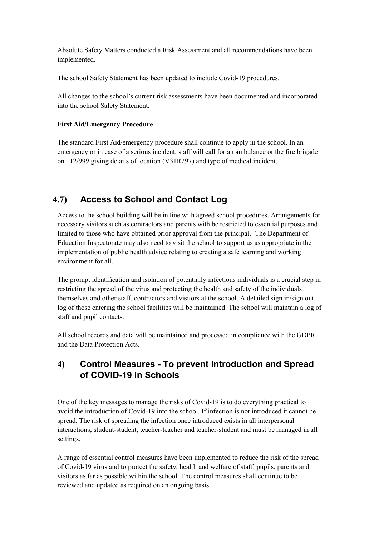Absolute Safety Matters conducted a Risk Assessment and all recommendations have been implemented.

The school Safety Statement has been updated to include Covid-19 procedures.

All changes to the school's current risk assessments have been documented and incorporated into the school Safety Statement.

### **First Aid/Emergency Procedure**

The standard First Aid/emergency procedure shall continue to apply in the school. In an emergency or in case of a serious incident, staff will call for an ambulance or the fire brigade on 112/999 giving details of location (V31R297) and type of medical incident.

# **4.7) Access to School and Contact Log**

Access to the school building will be in line with agreed school procedures. Arrangements for necessary visitors such as contractors and parents with be restricted to essential purposes and limited to those who have obtained prior approval from the principal. The Department of Education Inspectorate may also need to visit the school to support us as appropriate in the implementation of public health advice relating to creating a safe learning and working environment for all.

The prompt identification and isolation of potentially infectious individuals is a crucial step in restricting the spread of the virus and protecting the health and safety of the individuals themselves and other staff, contractors and visitors at the school. A detailed sign in/sign out log of those entering the school facilities will be maintained. The school will maintain a log of staff and pupil contacts.

All school records and data will be maintained and processed in compliance with the GDPR and the Data Protection Acts.

# **4) Control Measures - To prevent Introduction and Spread of COVID-19 in Schools**

One of the key messages to manage the risks of Covid-19 is to do everything practical to avoid the introduction of Covid-19 into the school. If infection is not introduced it cannot be spread. The risk of spreading the infection once introduced exists in all interpersonal interactions; student-student, teacher-teacher and teacher-student and must be managed in all settings.

A range of essential control measures have been implemented to reduce the risk of the spread of Covid-19 virus and to protect the safety, health and welfare of staff, pupils, parents and visitors as far as possible within the school. The control measures shall continue to be reviewed and updated as required on an ongoing basis.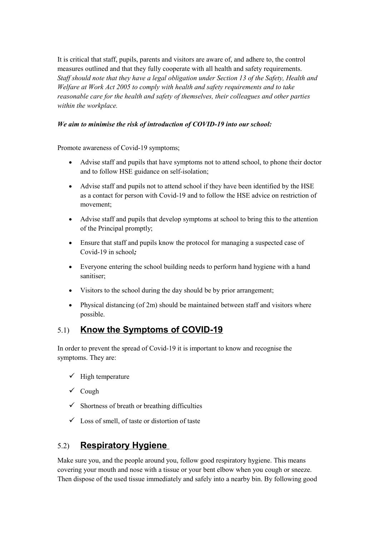It is critical that staff, pupils, parents and visitors are aware of, and adhere to, the control measures outlined and that they fully cooperate with all health and safety requirements. *Staff should note that they have a legal obligation under Section 13 of the Safety, Health and Welfare at Work Act 2005 to comply with health and safety requirements and to take reasonable care for the health and safety of themselves, their colleagues and other parties within the workplace.* 

### *We aim to minimise the risk of introduction of COVID-19 into our school:*

Promote awareness of Covid-19 symptoms;

- Advise staff and pupils that have symptoms not to attend school, to phone their doctor and to follow HSE guidance on self-isolation;
- Advise staff and pupils not to attend school if they have been identified by the HSE as a contact for person with Covid-19 and to follow the HSE advice on restriction of movement;
- Advise staff and pupils that develop symptoms at school to bring this to the attention of the Principal promptly;
- Ensure that staff and pupils know the protocol for managing a suspected case of Covid-19 in school*;*
- Everyone entering the school building needs to perform hand hygiene with a hand sanitiser;
- Visitors to the school during the day should be by prior arrangement;
- Physical distancing (of 2m) should be maintained between staff and visitors where possible.

## 5.1) **Know the Symptoms of COVID-19**

In order to prevent the spread of Covid-19 it is important to know and recognise the symptoms. They are:

- $\checkmark$  High temperature
- $\checkmark$  Cough
- $\checkmark$  Shortness of breath or breathing difficulties
- $\checkmark$  Loss of smell, of taste or distortion of taste

## 5.2) **Respiratory Hygiene**

Make sure you, and the people around you, follow good respiratory hygiene. This means covering your mouth and nose with a tissue or your bent elbow when you cough or sneeze. Then dispose of the used tissue immediately and safely into a nearby bin. By following good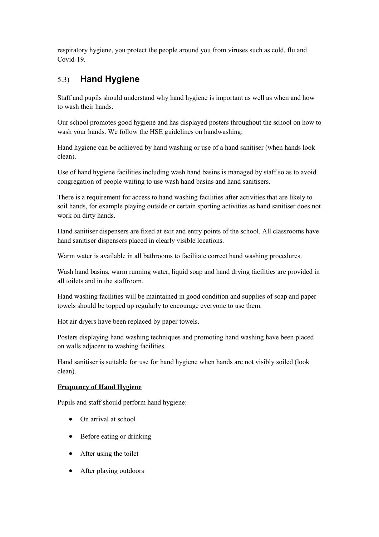respiratory hygiene, you protect the people around you from viruses such as cold, flu and Covid-19.

# 5.3) **Hand Hygiene**

Staff and pupils should understand why hand hygiene is important as well as when and how to wash their hands.

Our school promotes good hygiene and has displayed posters throughout the school on how to wash your hands. We follow the HSE guidelines on handwashing:

Hand hygiene can be achieved by hand washing or use of a hand sanitiser (when hands look clean).

Use of hand hygiene facilities including wash hand basins is managed by staff so as to avoid congregation of people waiting to use wash hand basins and hand sanitisers.

There is a requirement for access to hand washing facilities after activities that are likely to soil hands, for example playing outside or certain sporting activities as hand sanitiser does not work on dirty hands.

Hand sanitiser dispensers are fixed at exit and entry points of the school. All classrooms have hand sanitiser dispensers placed in clearly visible locations.

Warm water is available in all bathrooms to facilitate correct hand washing procedures.

Wash hand basins, warm running water, liquid soap and hand drying facilities are provided in all toilets and in the staffroom.

Hand washing facilities will be maintained in good condition and supplies of soap and paper towels should be topped up regularly to encourage everyone to use them.

Hot air dryers have been replaced by paper towels.

Posters displaying hand washing techniques and promoting hand washing have been placed on walls adjacent to washing facilities.

Hand sanitiser is suitable for use for hand hygiene when hands are not visibly soiled (look clean).

### **Frequency of Hand Hygiene**

Pupils and staff should perform hand hygiene:

- On arrival at school
- Before eating or drinking
- After using the toilet
- After playing outdoors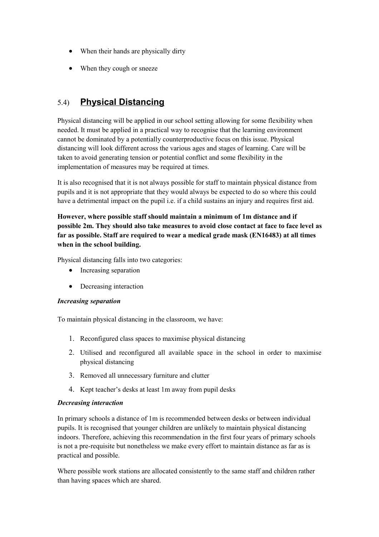- When their hands are physically dirty
- When they cough or sneeze

# 5.4) **Physical Distancing**

Physical distancing will be applied in our school setting allowing for some flexibility when needed. It must be applied in a practical way to recognise that the learning environment cannot be dominated by a potentially counterproductive focus on this issue. Physical distancing will look different across the various ages and stages of learning. Care will be taken to avoid generating tension or potential conflict and some flexibility in the implementation of measures may be required at times.

It is also recognised that it is not always possible for staff to maintain physical distance from pupils and it is not appropriate that they would always be expected to do so where this could have a detrimental impact on the pupil i.e. if a child sustains an injury and requires first aid.

**However, where possible staff should maintain a minimum of 1m distance and if possible 2m. They should also take measures to avoid close contact at face to face level as far as possible. Staff are required to wear a medical grade mask (EN16483) at all times when in the school building.**

Physical distancing falls into two categories:

- Increasing separation
- Decreasing interaction

### *Increasing separation*

To maintain physical distancing in the classroom, we have:

- 1. Reconfigured class spaces to maximise physical distancing
- 2. Utilised and reconfigured all available space in the school in order to maximise physical distancing
- 3. Removed all unnecessary furniture and clutter
- 4. Kept teacher's desks at least 1m away from pupil desks

#### *Decreasing interaction*

In primary schools a distance of 1m is recommended between desks or between individual pupils. It is recognised that younger children are unlikely to maintain physical distancing indoors. Therefore, achieving this recommendation in the first four years of primary schools is not a pre-requisite but nonetheless we make every effort to maintain distance as far as is practical and possible.

Where possible work stations are allocated consistently to the same staff and children rather than having spaces which are shared.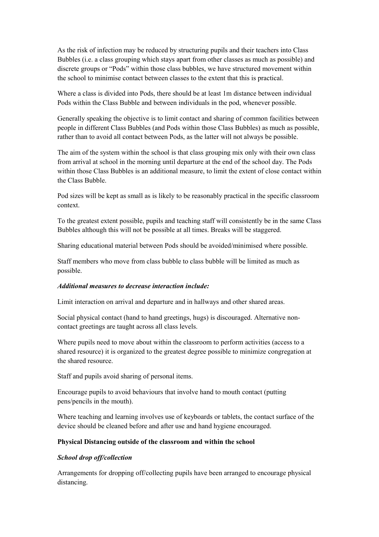As the risk of infection may be reduced by structuring pupils and their teachers into Class Bubbles (i.e. a class grouping which stays apart from other classes as much as possible) and discrete groups or "Pods" within those class bubbles, we have structured movement within the school to minimise contact between classes to the extent that this is practical.

Where a class is divided into Pods, there should be at least 1m distance between individual Pods within the Class Bubble and between individuals in the pod, whenever possible.

Generally speaking the objective is to limit contact and sharing of common facilities between people in different Class Bubbles (and Pods within those Class Bubbles) as much as possible, rather than to avoid all contact between Pods, as the latter will not always be possible.

The aim of the system within the school is that class grouping mix only with their own class from arrival at school in the morning until departure at the end of the school day. The Pods within those Class Bubbles is an additional measure, to limit the extent of close contact within the Class Bubble.

Pod sizes will be kept as small as is likely to be reasonably practical in the specific classroom context.

To the greatest extent possible, pupils and teaching staff will consistently be in the same Class Bubbles although this will not be possible at all times. Breaks will be staggered.

Sharing educational material between Pods should be avoided/minimised where possible.

Staff members who move from class bubble to class bubble will be limited as much as possible.

#### *Additional measures to decrease interaction include:*

Limit interaction on arrival and departure and in hallways and other shared areas.

Social physical contact (hand to hand greetings, hugs) is discouraged. Alternative noncontact greetings are taught across all class levels.

Where pupils need to move about within the classroom to perform activities (access to a shared resource) it is organized to the greatest degree possible to minimize congregation at the shared resource.

Staff and pupils avoid sharing of personal items.

Encourage pupils to avoid behaviours that involve hand to mouth contact (putting pens/pencils in the mouth).

Where teaching and learning involves use of keyboards or tablets, the contact surface of the device should be cleaned before and after use and hand hygiene encouraged.

#### **Physical Distancing outside of the classroom and within the school**

#### *School drop off/collection*

Arrangements for dropping off/collecting pupils have been arranged to encourage physical distancing.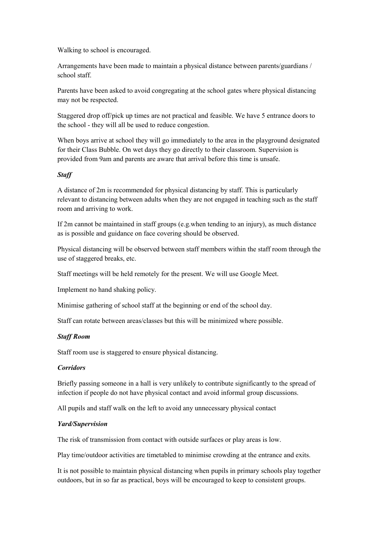Walking to school is encouraged.

Arrangements have been made to maintain a physical distance between parents/guardians / school staff.

Parents have been asked to avoid congregating at the school gates where physical distancing may not be respected.

Staggered drop off/pick up times are not practical and feasible. We have 5 entrance doors to the school - they will all be used to reduce congestion.

When boys arrive at school they will go immediately to the area in the playground designated for their Class Bubble. On wet days they go directly to their classroom. Supervision is provided from 9am and parents are aware that arrival before this time is unsafe.

#### *Staff*

A distance of 2m is recommended for physical distancing by staff. This is particularly relevant to distancing between adults when they are not engaged in teaching such as the staff room and arriving to work.

If 2m cannot be maintained in staff groups (e.g.when tending to an injury), as much distance as is possible and guidance on face covering should be observed.

Physical distancing will be observed between staff members within the staff room through the use of staggered breaks, etc.

Staff meetings will be held remotely for the present. We will use Google Meet.

Implement no hand shaking policy.

Minimise gathering of school staff at the beginning or end of the school day.

Staff can rotate between areas/classes but this will be minimized where possible.

#### *Staff Room*

Staff room use is staggered to ensure physical distancing.

#### *Corridors*

Briefly passing someone in a hall is very unlikely to contribute significantly to the spread of infection if people do not have physical contact and avoid informal group discussions.

All pupils and staff walk on the left to avoid any unnecessary physical contact

#### *Yard/Supervision*

The risk of transmission from contact with outside surfaces or play areas is low.

Play time/outdoor activities are timetabled to minimise crowding at the entrance and exits.

It is not possible to maintain physical distancing when pupils in primary schools play together outdoors, but in so far as practical, boys will be encouraged to keep to consistent groups.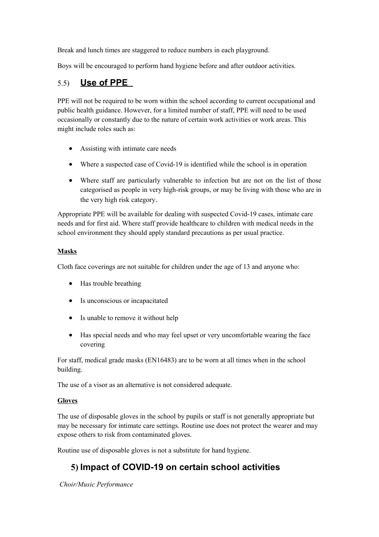Break and lunch times are staggered to reduce numbers in each playground.

Boys will be encouraged to perform hand hygiene before and after outdoor activities.

### 5.5) **Use of PPE**

PPE will not be required to be worn within the school according to current occupational and public health guidance. However, for a limited number of staff, PPE will need to be used occasionally or constantly due to the nature of certain work activities or work areas. This might include roles such as:

- Assisting with intimate care needs
- Where a suspected case of Covid-19 is identified while the school is in operation
- Where staff are particularly vulnerable to infection but are not on the list of those categorised as people in very high-risk groups, or may be living with those who are in the very high risk category.

Appropriate PPE will be available for dealing with suspected Covid-19 cases, intimate care needs and for first aid. Where staff provide healthcare to children with medical needs in the school environment they should apply standard precautions as per usual practice.

### **Masks**

Cloth face coverings are not suitable for children under the age of 13 and anyone who:

- Has trouble breathing
- Is unconscious or incapacitated
- Is unable to remove it without help
- Has special needs and who may feel upset or very uncomfortable wearing the face covering

For staff, medical grade masks (EN16483) are to be worn at all times when in the school building.

The use of a visor as an alternative is not considered adequate.

### **Gloves**

The use of disposable gloves in the school by pupils or staff is not generally appropriate but may be necessary for intimate care settings. Routine use does not protect the wearer and may expose others to risk from contaminated gloves.

Routine use of disposable gloves is not a substitute for hand hygiene.

# **5) Impact of COVID-19 on certain school activities**

*Choir/Music Performance*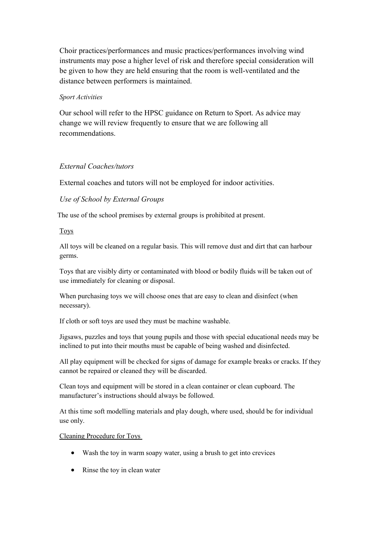Choir practices/performances and music practices/performances involving wind instruments may pose a higher level of risk and therefore special consideration will be given to how they are held ensuring that the room is well-ventilated and the distance between performers is maintained.

### *Sport Activities*

Our school will refer to the HPSC guidance on Return to Sport. As advice may change we will review frequently to ensure that we are following all recommendations.

### *External Coaches/tutors*

External coaches and tutors will not be employed for indoor activities.

### *Use of School by External Groups*

The use of the school premises by external groups is prohibited at present.

### Toys

All toys will be cleaned on a regular basis. This will remove dust and dirt that can harbour germs.

Toys that are visibly dirty or contaminated with blood or bodily fluids will be taken out of use immediately for cleaning or disposal.

When purchasing toys we will choose ones that are easy to clean and disinfect (when necessary).

If cloth or soft toys are used they must be machine washable.

Jigsaws, puzzles and toys that young pupils and those with special educational needs may be inclined to put into their mouths must be capable of being washed and disinfected.

All play equipment will be checked for signs of damage for example breaks or cracks. If they cannot be repaired or cleaned they will be discarded.

Clean toys and equipment will be stored in a clean container or clean cupboard. The manufacturer's instructions should always be followed.

At this time soft modelling materials and play dough, where used, should be for individual use only.

### Cleaning Procedure for Toys

- Wash the toy in warm soapy water, using a brush to get into crevices
- Rinse the toy in clean water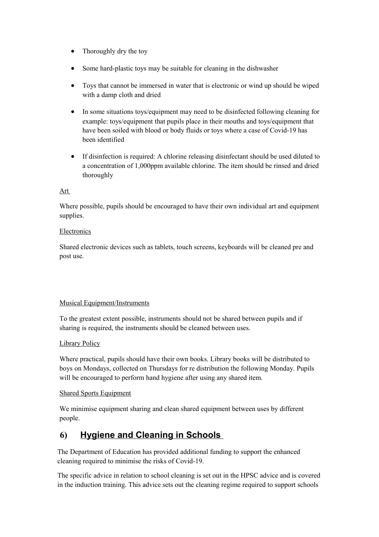- Thoroughly dry the toy
- Some hard-plastic toys may be suitable for cleaning in the dishwasher
- Toys that cannot be immersed in water that is electronic or wind up should be wiped with a damp cloth and dried
- In some situations toys/equipment may need to be disinfected following cleaning for example: toys/equipment that pupils place in their mouths and toys/equipment that have been soiled with blood or body fluids or toys where a case of Covid-19 has been identified
- If disinfection is required: A chlorine releasing disinfectant should be used diluted to a concentration of 1,000ppm available chlorine. The item should be rinsed and dried thoroughly

### Art

Where possible, pupils should be encouraged to have their own individual art and equipment supplies.

#### Electronics

Shared electronic devices such as tablets, touch screens, keyboards will be cleaned pre and post use.

### Musical Equipment/Instruments

To the greatest extent possible, instruments should not be shared between pupils and if sharing is required, the instruments should be cleaned between uses.

### Library Policy

Where practical, pupils should have their own books. Library books will be distributed to boys on Mondays, collected on Thursdays for re distribution the following Monday. Pupils will be encouraged to perform hand hygiene after using any shared item.

### Shared Sports Equipment

We minimise equipment sharing and clean shared equipment between uses by different people.

# **6) Hygiene and Cleaning in Schools**

The Department of Education has provided additional funding to support the enhanced cleaning required to minimise the risks of Covid-19.

The specific advice in relation to school cleaning is set out in the HPSC advice and is covered in the induction training. This advice sets out the cleaning regime required to support schools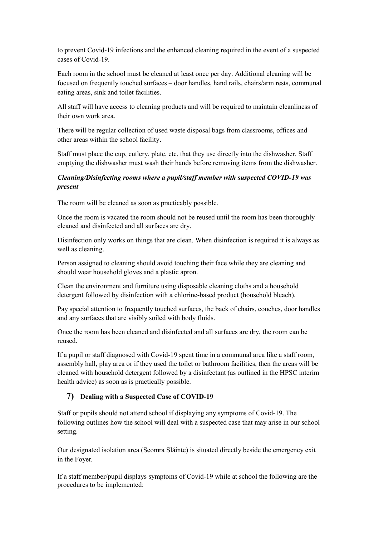to prevent Covid-19 infections and the enhanced cleaning required in the event of a suspected cases of Covid-19.

Each room in the school must be cleaned at least once per day. Additional cleaning will be focused on frequently touched surfaces – door handles, hand rails, chairs/arm rests, communal eating areas, sink and toilet facilities.

All staff will have access to cleaning products and will be required to maintain cleanliness of their own work area.

There will be regular collection of used waste disposal bags from classrooms, offices and other areas within the school facility**.** 

Staff must place the cup, cutlery, plate, etc. that they use directly into the dishwasher. Staff emptying the dishwasher must wash their hands before removing items from the dishwasher.

### *Cleaning/Disinfecting rooms where a pupil/staff member with suspected COVID-19 was present*

The room will be cleaned as soon as practicably possible.

Once the room is vacated the room should not be reused until the room has been thoroughly cleaned and disinfected and all surfaces are dry.

Disinfection only works on things that are clean. When disinfection is required it is always as well as cleaning.

Person assigned to cleaning should avoid touching their face while they are cleaning and should wear household gloves and a plastic apron.

Clean the environment and furniture using disposable cleaning cloths and a household detergent followed by disinfection with a chlorine-based product (household bleach).

Pay special attention to frequently touched surfaces, the back of chairs, couches, door handles and any surfaces that are visibly soiled with body fluids.

Once the room has been cleaned and disinfected and all surfaces are dry, the room can be reused.

If a pupil or staff diagnosed with Covid-19 spent time in a communal area like a staff room, assembly hall, play area or if they used the toilet or bathroom facilities, then the areas will be cleaned with household detergent followed by a disinfectant (as outlined in the HPSC interim health advice) as soon as is practically possible.

### **7) Dealing with a Suspected Case of COVID-19**

Staff or pupils should not attend school if displaying any symptoms of Covid-19. The following outlines how the school will deal with a suspected case that may arise in our school setting.

Our designated isolation area (Seomra Sláinte) is situated directly beside the emergency exit in the Foyer.

If a staff member/pupil displays symptoms of Covid-19 while at school the following are the procedures to be implemented: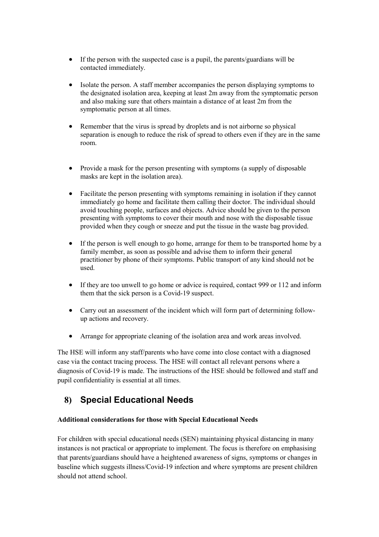- If the person with the suspected case is a pupil, the parents/guardians will be contacted immediately.
- Isolate the person. A staff member accompanies the person displaying symptoms to the designated isolation area, keeping at least 2m away from the symptomatic person and also making sure that others maintain a distance of at least 2m from the symptomatic person at all times.
- Remember that the virus is spread by droplets and is not airborne so physical separation is enough to reduce the risk of spread to others even if they are in the same room.
- Provide a mask for the person presenting with symptoms (a supply of disposable masks are kept in the isolation area).
- Facilitate the person presenting with symptoms remaining in isolation if they cannot immediately go home and facilitate them calling their doctor. The individual should avoid touching people, surfaces and objects. Advice should be given to the person presenting with symptoms to cover their mouth and nose with the disposable tissue provided when they cough or sneeze and put the tissue in the waste bag provided.
- If the person is well enough to go home, arrange for them to be transported home by a family member, as soon as possible and advise them to inform their general practitioner by phone of their symptoms. Public transport of any kind should not be used.
- If they are too unwell to go home or advice is required, contact 999 or 112 and inform them that the sick person is a Covid-19 suspect.
- Carry out an assessment of the incident which will form part of determining followup actions and recovery.
- Arrange for appropriate cleaning of the isolation area and work areas involved.

The HSE will inform any staff/parents who have come into close contact with a diagnosed case via the contact tracing process. The HSE will contact all relevant persons where a diagnosis of Covid-19 is made. The instructions of the HSE should be followed and staff and pupil confidentiality is essential at all times.

# **8) Special Educational Needs**

### **Additional considerations for those with Special Educational Needs**

For children with special educational needs (SEN) maintaining physical distancing in many instances is not practical or appropriate to implement. The focus is therefore on emphasising that parents/guardians should have a heightened awareness of signs, symptoms or changes in baseline which suggests illness/Covid-19 infection and where symptoms are present children should not attend school.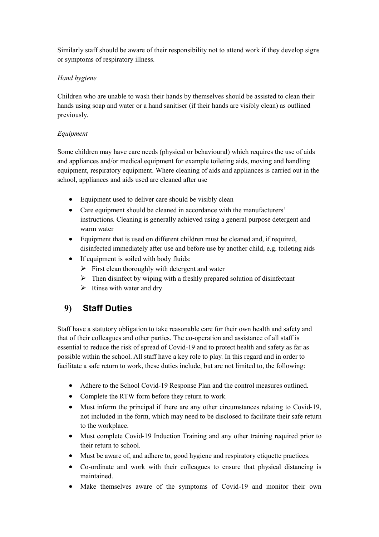Similarly staff should be aware of their responsibility not to attend work if they develop signs or symptoms of respiratory illness.

### *Hand hygiene*

Children who are unable to wash their hands by themselves should be assisted to clean their hands using soap and water or a hand sanitiser (if their hands are visibly clean) as outlined previously.

### *Equipment*

Some children may have care needs (physical or behavioural) which requires the use of aids and appliances and/or medical equipment for example toileting aids, moving and handling equipment, respiratory equipment. Where cleaning of aids and appliances is carried out in the school, appliances and aids used are cleaned after use

- Equipment used to deliver care should be visibly clean
- Care equipment should be cleaned in accordance with the manufacturers' instructions. Cleaning is generally achieved using a general purpose detergent and warm water
- Equipment that is used on different children must be cleaned and, if required, disinfected immediately after use and before use by another child, e.g. toileting aids
- If equipment is soiled with body fluids:
	- $\triangleright$  First clean thoroughly with detergent and water
	- $\triangleright$  Then disinfect by wiping with a freshly prepared solution of disinfectant
	- $\triangleright$  Rinse with water and dry

## **9) Staff Duties**

Staff have a statutory obligation to take reasonable care for their own health and safety and that of their colleagues and other parties. The co-operation and assistance of all staff is essential to reduce the risk of spread of Covid-19 and to protect health and safety as far as possible within the school. All staff have a key role to play. In this regard and in order to facilitate a safe return to work, these duties include, but are not limited to, the following:

- Adhere to the School Covid-19 Response Plan and the control measures outlined.
- Complete the RTW form before they return to work.
- Must inform the principal if there are any other circumstances relating to Covid-19, not included in the form, which may need to be disclosed to facilitate their safe return to the workplace.
- Must complete Covid-19 Induction Training and any other training required prior to their return to school.
- Must be aware of, and adhere to, good hygiene and respiratory etiquette practices.
- Co-ordinate and work with their colleagues to ensure that physical distancing is maintained.
- Make themselves aware of the symptoms of Covid-19 and monitor their own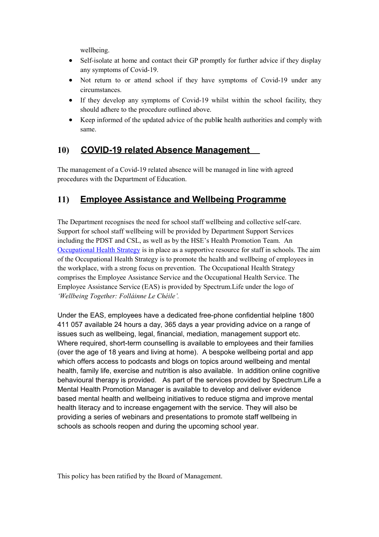wellbeing.

- Self-isolate at home and contact their GP promptly for further advice if they display any symptoms of Covid-19.
- Not return to or attend school if they have symptoms of Covid-19 under any circumstances.
- If they develop any symptoms of Covid-19 whilst within the school facility, they should adhere to the procedure outlined above.
- Keep informed of the updated advice of the publ**ic** health authorities and comply with same.

# **10) COVID-19 related Absence Management**

The management of a Covid-19 related absence will be managed in line with agreed procedures with the Department of Education.

# **11) Employee Assistance and Wellbeing Programme**

The Department recognises the need for school staff wellbeing and collective self-care. Support for school staff wellbeing will be provided by Department Support Services including the PDST and CSL, as well as by the HSE's Health Promotion Team. An [Occupational Health Strategy](https://www.education.ie/en/Education-Staff/Information/Occupational-Health-Strategy/) is in place as a supportive resource for staff in schools. The aim of the Occupational Health Strategy is to promote the health and wellbeing of employees in the workplace, with a strong focus on prevention. The Occupational Health Strategy comprises the Employee Assistance Service and the Occupational Health Service. The Employee Assistance Service (EAS) is provided by Spectrum.Life under the logo of *'Wellbeing Together: Folláinne Le Chéile'.* 

Under the EAS, employees have a dedicated free-phone confidential helpline 1800 411 057 available 24 hours a day, 365 days a year providing advice on a range of issues such as wellbeing, legal, financial, mediation, management support etc. Where required, short-term counselling is available to employees and their families (over the age of 18 years and living at home). A bespoke wellbeing portal and app which offers access to podcasts and blogs on topics around wellbeing and mental health, family life, exercise and nutrition is also available. In addition online cognitive behavioural therapy is provided. As part of the services provided by Spectrum.Life a Mental Health Promotion Manager is available to develop and deliver evidence based mental health and wellbeing initiatives to reduce stigma and improve mental health literacy and to increase engagement with the service. They will also be providing a series of webinars and presentations to promote staff wellbeing in schools as schools reopen and during the upcoming school year.

This policy has been ratified by the Board of Management.